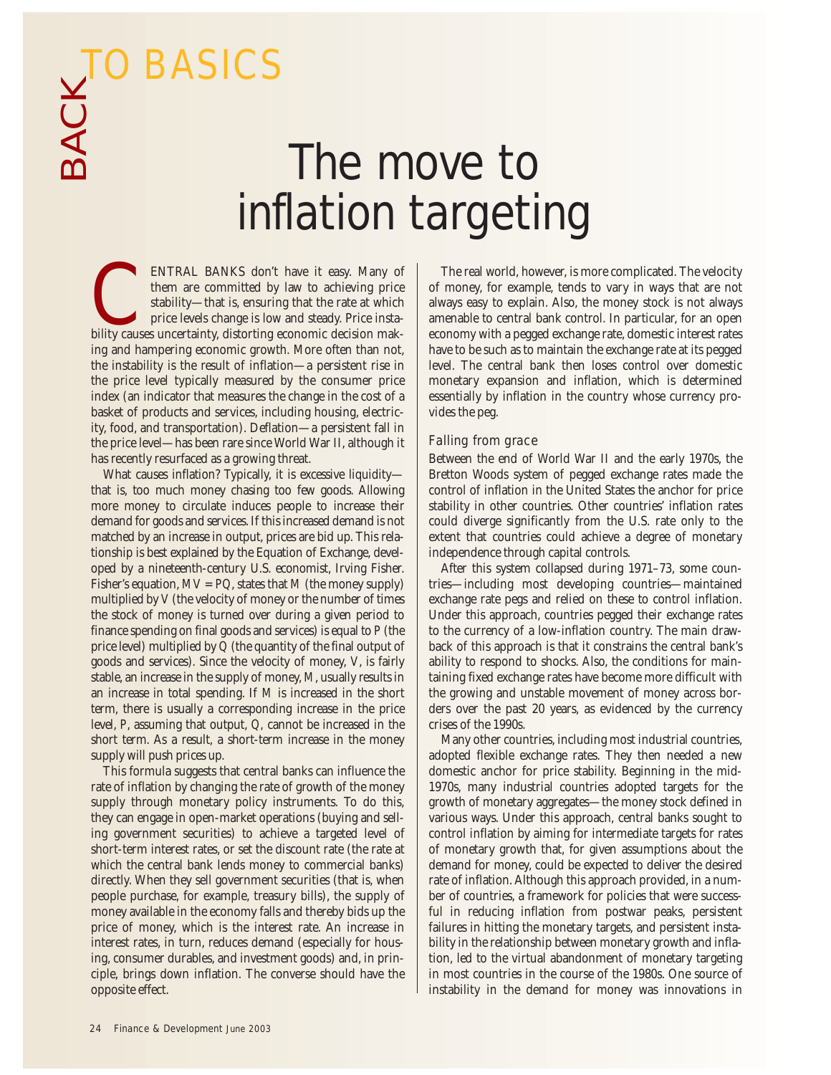BACK TO BASICS

# The move to inflation targeting

ENTRAL BANKS don't have it easy. Many of them are committed by law to achieving price stability—that is, ensuring that the rate at which price levels change is low and steady. Price insta-ENTRAL BANKS don't have it easy. Many of them are committed by law to achieving price stability—that is, ensuring that the rate at which price levels change is low and steady. Price instability causes uncertainty, distorti ing and hampering economic growth. More often than not, the instability is the result of inflation—a persistent rise in the price level typically measured by the consumer price index (an indicator that measures the change in the cost of a basket of products and services, including housing, electricity, food, and transportation). Deflation—a persistent fall in the price level—has been rare since World War II, although it has recently resurfaced as a growing threat.

What causes inflation? Typically, it is excessive liquidity that is, too much money chasing too few goods. Allowing more money to circulate induces people to increase their demand for goods and services. If this increased demand is not matched by an increase in output, prices are bid up. This relationship is best explained by the Equation of Exchange, developed by a nineteenth-century U.S. economist, Irving Fisher. Fisher's equation,  $MV = PQ$ , states that M (the money supply) multiplied by *V* (the velocity of money or the number of times the stock of money is turned over during a given period to finance spending on final goods and services) is equal to *P* (the price level) multiplied by *Q* (the quantity of the final output of goods and services). Since the velocity of money, *V*, is fairly stable, an increase in the supply of money, *M*, usually results in an increase in total spending. If *M* is increased in the short term, there is usually a corresponding increase in the price level, *P*, assuming that output, *Q,* cannot be increased in the short term. As a result, a short-term increase in the money supply will push prices up.

This formula suggests that central banks can influence the rate of inflation by changing the rate of growth of the money supply through monetary policy instruments. To do this, they can engage in open-market operations (buying and selling government securities) to achieve a targeted level of short-term interest rates, or set the discount rate (the rate at which the central bank lends money to commercial banks) directly. When they sell government securities (that is, when people purchase, for example, treasury bills), the supply of money available in the economy falls and thereby bids up the price of money, which is the interest rate. An increase in interest rates, in turn, reduces demand (especially for housing, consumer durables, and investment goods) and, in principle, brings down inflation. The converse should have the opposite effect.

The real world, however, is more complicated. The velocity of money, for example, tends to vary in ways that are not always easy to explain. Also, the money stock is not always amenable to central bank control. In particular, for an open economy with a pegged exchange rate, domestic interest rates have to be such as to maintain the exchange rate at its pegged level. The central bank then loses control over domestic monetary expansion and inflation, which is determined essentially by inflation in the country whose currency provides the peg.

### Falling from grace

Between the end of World War II and the early 1970s, the Bretton Woods system of pegged exchange rates made the control of inflation in the United States the anchor for price stability in other countries. Other countries' inflation rates could diverge significantly from the U.S. rate only to the extent that countries could achieve a degree of monetary independence through capital controls.

After this system collapsed during 1971–73, some countries—including most developing countries—maintained exchange rate pegs and relied on these to control inflation. Under this approach, countries pegged their exchange rates to the currency of a low-inflation country. The main drawback of this approach is that it constrains the central bank's ability to respond to shocks. Also, the conditions for maintaining fixed exchange rates have become more difficult with the growing and unstable movement of money across borders over the past 20 years, as evidenced by the currency crises of the 1990s.

Many other countries, including most industrial countries, adopted flexible exchange rates. They then needed a new domestic anchor for price stability. Beginning in the mid-1970s, many industrial countries adopted targets for the growth of monetary aggregates—the money stock defined in various ways. Under this approach, central banks sought to control inflation by aiming for intermediate targets for rates of monetary growth that, for given assumptions about the demand for money, could be expected to deliver the desired rate of inflation. Although this approach provided, in a number of countries, a framework for policies that were successful in reducing inflation from postwar peaks, persistent failures in hitting the monetary targets, and persistent instability in the relationship between monetary growth and inflation, led to the virtual abandonment of monetary targeting in most countries in the course of the 1980s. One source of instability in the demand for money was innovations in